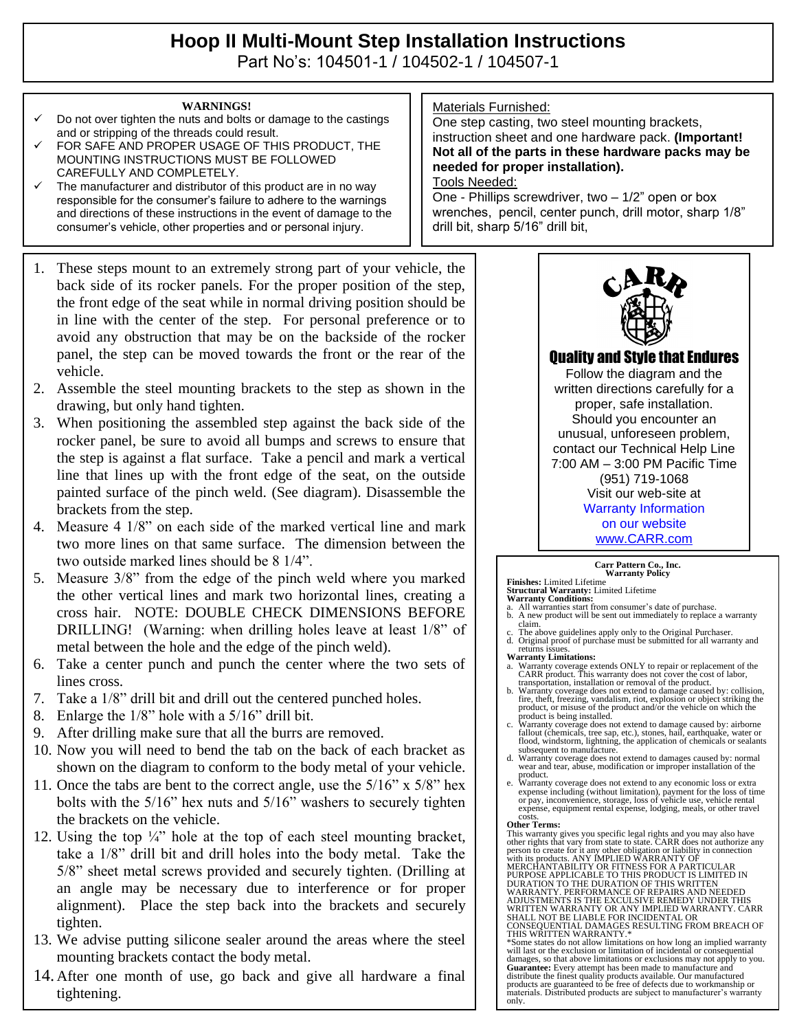# **Hoop II Multi-Mount Step Installation Instructions**  Part No's: 104501-1 / 104502-1 / 104507-1

#### **WARNINGS!**

- Do not over tighten the nuts and bolts or damage to the castings and or stripping of the threads could result.
- FOR SAFE AND PROPER USAGE OF THIS PRODUCT, THE MOUNTING INSTRUCTIONS MUST BE FOLLOWED CAREFULLY AND COMPLETELY.
- The manufacturer and distributor of this product are in no way responsible for the consumer's failure to adhere to the warnings and directions of these instructions in the event of damage to the consumer's vehicle, other properties and or personal injury.
- 1. These steps mount to an extremely strong part of your vehicle, the back side of its rocker panels. For the proper position of the step, the front edge of the seat while in normal driving position should be in line with the center of the step. For personal preference or to avoid any obstruction that may be on the backside of the rocker panel, the step can be moved towards the front or the rear of the vehicle.
- 2. Assemble the steel mounting brackets to the step as shown in the drawing, but only hand tighten.
- 3. When positioning the assembled step against the back side of the rocker panel, be sure to avoid all bumps and screws to ensure that the step is against a flat surface. Take a pencil and mark a vertical line that lines up with the front edge of the seat, on the outside painted surface of the pinch weld. (See diagram). Disassemble the brackets from the step.
- 4. Measure 4 1/8" on each side of the marked vertical line and mark two more lines on that same surface. The dimension between the two outside marked lines should be 8 1/4".
- 5. Measure 3/8" from the edge of the pinch weld where you marked the other vertical lines and mark two horizontal lines, creating a cross hair. NOTE: DOUBLE CHECK DIMENSIONS BEFORE DRILLING! (Warning: when drilling holes leave at least 1/8" of metal between the hole and the edge of the pinch weld).
- 6. Take a center punch and punch the center where the two sets of lines cross.
- 7. Take a 1/8" drill bit and drill out the centered punched holes.
- 8. Enlarge the 1/8" hole with a 5/16" drill bit.
- 9. After drilling make sure that all the burrs are removed.
- 10. Now you will need to bend the tab on the back of each bracket as shown on the diagram to conform to the body metal of your vehicle.
- 11. Once the tabs are bent to the correct angle, use the 5/16" x 5/8" hex bolts with the 5/16" hex nuts and 5/16" washers to securely tighten the brackets on the vehicle.
- 12. Using the top  $\frac{1}{4}$ " hole at the top of each steel mounting bracket, take a 1/8" drill bit and drill holes into the body metal. Take the 5/8" sheet metal screws provided and securely tighten. (Drilling at an angle may be necessary due to interference or for proper alignment). Place the step back into the brackets and securely tighten.
- 13. We advise putting silicone sealer around the areas where the steel mounting brackets contact the body metal.
- 14. After one month of use, go back and give all hardware a final tightening.

#### Materials Furnished:

One step casting, two steel mounting brackets, instruction sheet and one hardware pack. **(Important! Not all of the parts in these hardware packs may be needed for proper installation).** Tools Needed:

One - Phillips screwdriver, two – 1/2" open or box wrenches, pencil, center punch, drill motor, sharp 1/8" drill bit, sharp 5/16" drill bit,



### Quality and Style that Endures

Follow the diagram and the written directions carefully for a proper, safe installation. Should you encounter an unusual, unforeseen problem, contact our Technical Help Line 7:00 AM – 3:00 PM Pacific Time (951) 719-1068 Visit our web-site at Warranty Information on our website [www.CARR.com](http://www.carr.com/)

#### . **Carr Pattern Co., Inc. Warranty Policy**

**Finishes:** Limited Lifetime **Structural Warranty:** Limited Lifetime **Warranty Conditions:**

- a. All warranties start from consumer's date of purchase. b. A new product will be sent out immediately to replace a warranty claim.
- c. The above guidelines apply only to the Original Purchaser. d. Original proof of purchase must be submitted for all warranty and

returns issues. **Warranty Limitations:**

- a. Warranty coverage extends ONLY to repair or replacement of the CARR product. This warranty does not cover the cost of labor, transportation, installation or removal of the product.<br>b. Warranty coverage does not extend t
- fire, theft, freezing, vandalism, riot, explosion or object striking the product, or misuse of the product and/or the vehicle on which the
- product is being installed. c. Warranty coverage does not extend to damage caused by: airborne fallout (chemicals, tree sap, etc.), stones, hail, earthquake, water or flood, windstorm, lightning, the application of chemicals or sealants
- subsequent to manufacture. d. Warranty coverage does not extend to damages caused by: normal wear and tear, abuse, modification or improper installation of the
- product. e. Warranty coverage does not extend to any economic loss or extra expense including (without limitation), payment for the loss of time<br>or pay, inconvenience, storage, loss of vehicle use, vehicle rental<br>expense, equipment rental expense, lodging, meals, or other travel

## costs. **Other Terms:**

This warranty gives you specific legal rights and you may also have other rights that vary from state to state. CARR does not authorize any person to create for it any other obligation or liability in connection<br>with its products. ANY IMPLIED WARRANTY OF<br>MERCHANTABILITY OR FITNESS FOR A PARTICULAR<br>PURPOSE APPLICABLE TO THIS PRODUCT IS LIMITED IN<br>DURATION TO TH WARRANTY. PERFORMANCE OF REPAIRS AND NEEDED<br>ADJUSTMENTS IS THE EXCULSIVE REMEDY UNDER THIS<br>WRITTEN WARRANTY OR ANY IMPLIED WARRANTY. CARR<br>SHALL NOT BE LIABLE FOR INCIDENTAL OR<br>CONSEQUENTIAL DAMAGES RESULTING FROM BREACH OF THIS WRITTEN WARRANTY.\* \*Some states do not allow limitations on how long an implied warranty

will last or the exclusion or limitation of incidental or consequential damages, so that above limitations or exclusions may not apply to you. **Guarantee:** Every attempt has been made to manufacture and distribute the finest quality products available. Our manufactured products are guaranteed to be free of defects due to workmanship or materials. Distributed products are subject to manufacturer's warranty only.